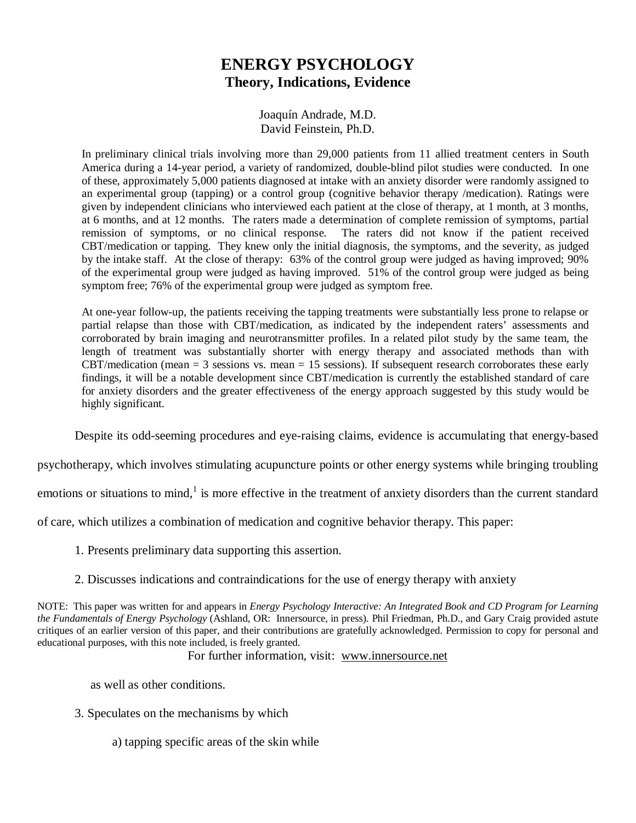# **ENERGY PSYCHOLOGY Theory, Indications, Evidence**

Joaquín Andrade, M.D. David Feinstein, Ph.D.

In preliminary clinical trials involving more than 29,000 patients from 11 allied treatment centers in South America during a 14-year period, a variety of randomized, double-blind pilot studies were conducted. In one of these, approximately 5,000 patients diagnosed at intake with an anxiety disorder were randomly assigned to an experimental group (tapping) or a control group (cognitive behavior therapy /medication). Ratings were given by independent clinicians who interviewed each patient at the close of therapy, at 1 month, at 3 months, at 6 months, and at 12 months. The raters made a determination of complete remission of symptoms, partial remission of symptoms, or no clinical response. The raters did not know if the patient received CBT/medication or tapping. They knew only the initial diagnosis, the symptoms, and the severity, as judged by the intake staff. At the close of therapy: 63% of the control group were judged as having improved; 90% of the experimental group were judged as having improved. 51% of the control group were judged as being symptom free; 76% of the experimental group were judged as symptom free.

At one-year follow-up, the patients receiving the tapping treatments were substantially less prone to relapse or partial relapse than those with CBT/medication, as indicated by the independent raters' assessments and corroborated by brain imaging and neurotransmitter profiles. In a related pilot study by the same team, the length of treatment was substantially shorter with energy therapy and associated methods than with CBT/medication (mean  $= 3$  sessions vs. mean  $= 15$  sessions). If subsequent research corroborates these early findings, it will be a notable development since CBT/medication is currently the established standard of care for anxiety disorders and the greater effectiveness of the energy approach suggested by this study would be highly significant.

Despite its odd-seeming procedures and eye-raising claims, evidence is accumulating that energy-based

psychotherapy, which involves stimulating acupuncture points or other energy systems while bringing troubling

emotions or situations to mind,<sup>1</sup> is more effective in the treatment of anxiety disorders than the current standard

of care, which utilizes a combination of medication and cognitive behavior therapy. This paper:

1. Presents preliminary data supporting this assertion.

2. Discusses indications and contraindications for the use of energy therapy with anxiety

NOTE: This paper was written for and appears in *Energy Psychology Interactive: An Integrated Book and CD Program for Learning the Fundamentals of Energy Psychology* (Ashland, OR: Innersource, in press)*.* Phil Friedman, Ph.D., and Gary Craig provided astute critiques of an earlier version of this paper, and their contributions are gratefully acknowledged. Permission to copy for personal and educational purposes, with this note included, is freely granted.

For further information, visit: www.innersource.net

as well as other conditions.

3. Speculates on the mechanisms by which

a) tapping specific areas of the skin while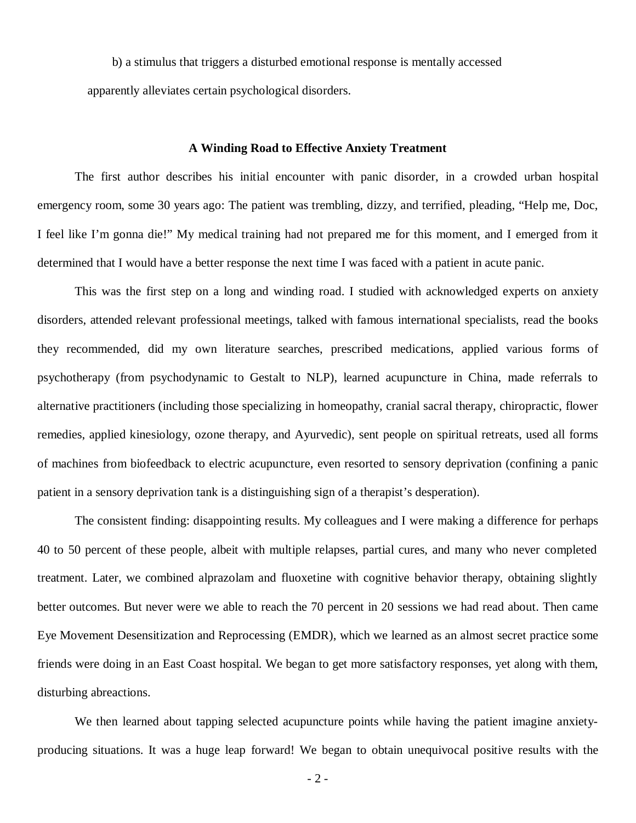b) a stimulus that triggers a disturbed emotional response is mentally accessed apparently alleviates certain psychological disorders.

### **A Winding Road to Effective Anxiety Treatment**

The first author describes his initial encounter with panic disorder, in a crowded urban hospital emergency room, some 30 years ago: The patient was trembling, dizzy, and terrified, pleading, "Help me, Doc, I feel like I'm gonna die!" My medical training had not prepared me for this moment, and I emerged from it determined that I would have a better response the next time I was faced with a patient in acute panic.

This was the first step on a long and winding road. I studied with acknowledged experts on anxiety disorders, attended relevant professional meetings, talked with famous international specialists, read the books they recommended, did my own literature searches, prescribed medications, applied various forms of psychotherapy (from psychodynamic to Gestalt to NLP), learned acupuncture in China, made referrals to alternative practitioners (including those specializing in homeopathy, cranial sacral therapy, chiropractic, flower remedies, applied kinesiology, ozone therapy, and Ayurvedic), sent people on spiritual retreats, used all forms of machines from biofeedback to electric acupuncture, even resorted to sensory deprivation (confining a panic patient in a sensory deprivation tank is a distinguishing sign of a therapist's desperation).

The consistent finding: disappointing results. My colleagues and I were making a difference for perhaps 40 to 50 percent of these people, albeit with multiple relapses, partial cures, and many who never completed treatment. Later, we combined alprazolam and fluoxetine with cognitive behavior therapy, obtaining slightly better outcomes. But never were we able to reach the 70 percent in 20 sessions we had read about. Then came Eye Movement Desensitization and Reprocessing (EMDR), which we learned as an almost secret practice some friends were doing in an East Coast hospital. We began to get more satisfactory responses, yet along with them, disturbing abreactions.

We then learned about tapping selected acupuncture points while having the patient imagine anxietyproducing situations. It was a huge leap forward! We began to obtain unequivocal positive results with the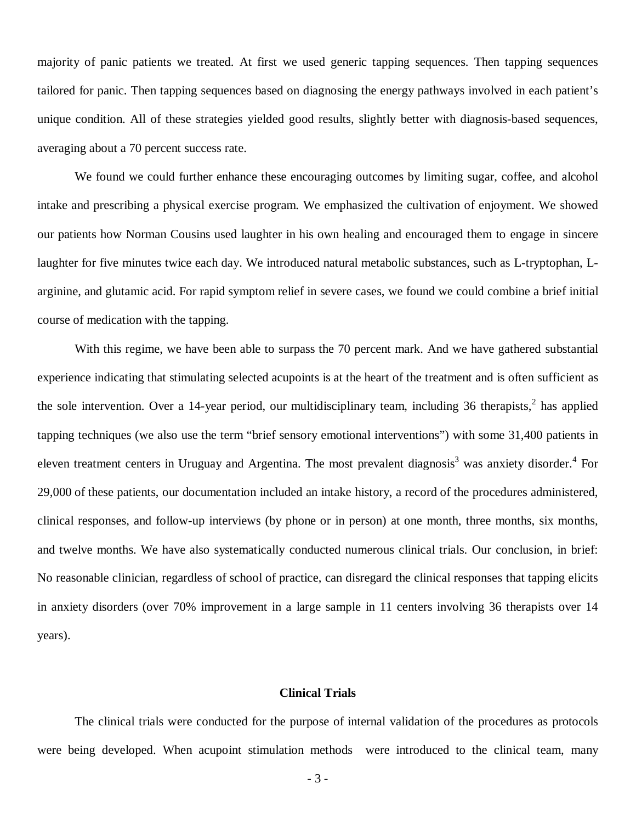majority of panic patients we treated. At first we used generic tapping sequences. Then tapping sequences tailored for panic. Then tapping sequences based on diagnosing the energy pathways involved in each patient's unique condition. All of these strategies yielded good results, slightly better with diagnosis-based sequences, averaging about a 70 percent success rate.

We found we could further enhance these encouraging outcomes by limiting sugar, coffee, and alcohol intake and prescribing a physical exercise program. We emphasized the cultivation of enjoyment. We showed our patients how Norman Cousins used laughter in his own healing and encouraged them to engage in sincere laughter for five minutes twice each day. We introduced natural metabolic substances, such as L-tryptophan, Larginine, and glutamic acid. For rapid symptom relief in severe cases, we found we could combine a brief initial course of medication with the tapping.

With this regime, we have been able to surpass the 70 percent mark. And we have gathered substantial experience indicating that stimulating selected acupoints is at the heart of the treatment and is often sufficient as the sole intervention. Over a 14-year period, our multidisciplinary team, including 36 therapists,<sup>2</sup> has applied tapping techniques (we also use the term "brief sensory emotional interventions") with some 31,400 patients in eleven treatment centers in Uruguay and Argentina. The most prevalent diagnosis<sup>3</sup> was anxiety disorder.<sup>4</sup> For 29,000 of these patients, our documentation included an intake history, a record of the procedures administered, clinical responses, and follow-up interviews (by phone or in person) at one month, three months, six months, and twelve months. We have also systematically conducted numerous clinical trials. Our conclusion, in brief: No reasonable clinician, regardless of school of practice, can disregard the clinical responses that tapping elicits in anxiety disorders (over 70% improvement in a large sample in 11 centers involving 36 therapists over 14 years).

#### **Clinical Trials**

The clinical trials were conducted for the purpose of internal validation of the procedures as protocols were being developed. When acupoint stimulation methods were introduced to the clinical team, many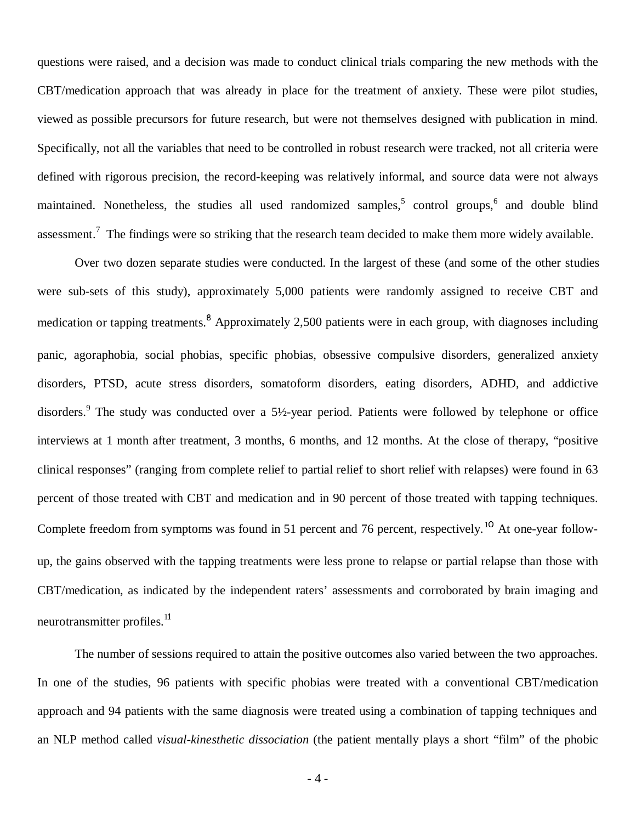questions were raised, and a decision was made to conduct clinical trials comparing the new methods with the CBT/medication approach that was already in place for the treatment of anxiety. These were pilot studies, viewed as possible precursors for future research, but were not themselves designed with publication in mind. Specifically, not all the variables that need to be controlled in robust research were tracked, not all criteria were defined with rigorous precision, the record-keeping was relatively informal, and source data were not always maintained. Nonetheless, the studies all used randomized samples,<sup>5</sup> control groups,<sup>6</sup> and double blind assessment.<sup>7</sup> The findings were so striking that the research team decided to make them more widely available.

Over two dozen separate studies were conducted. In the largest of these (and some of the other studies were sub-sets of this study), approximately 5,000 patients were randomly assigned to receive CBT and medication or tapping treatments. <sup>8</sup> Approximately 2,500 patients were in each group, with diagnoses including panic, agoraphobia, social phobias, specific phobias, obsessive compulsive disorders, generalized anxiety disorders, PTSD, acute stress disorders, somatoform disorders, eating disorders, ADHD, and addictive disorders.<sup>9</sup> The study was conducted over a 5½-year period. Patients were followed by telephone or office interviews at 1 month after treatment, 3 months, 6 months, and 12 months. At the close of therapy, "positive clinical responses" (ranging from complete relief to partial relief to short relief with relapses) were found in 63 percent of those treated with CBT and medication and in 90 percent of those treated with tapping techniques. Complete freedom from symptoms was found in 51 percent and 76 percent, respectively.<sup>10</sup> At one-year followup, the gains observed with the tapping treatments were less prone to relapse or partial relapse than those with CBT/medication, as indicated by the independent raters' assessments and corroborated by brain imaging and neurotransmitter profiles.<sup>11</sup>

The number of sessions required to attain the positive outcomes also varied between the two approaches. In one of the studies, 96 patients with specific phobias were treated with a conventional CBT/medication approach and 94 patients with the same diagnosis were treated using a combination of tapping techniques and an NLP method called *visual-kinesthetic dissociation* (the patient mentally plays a short "film" of the phobic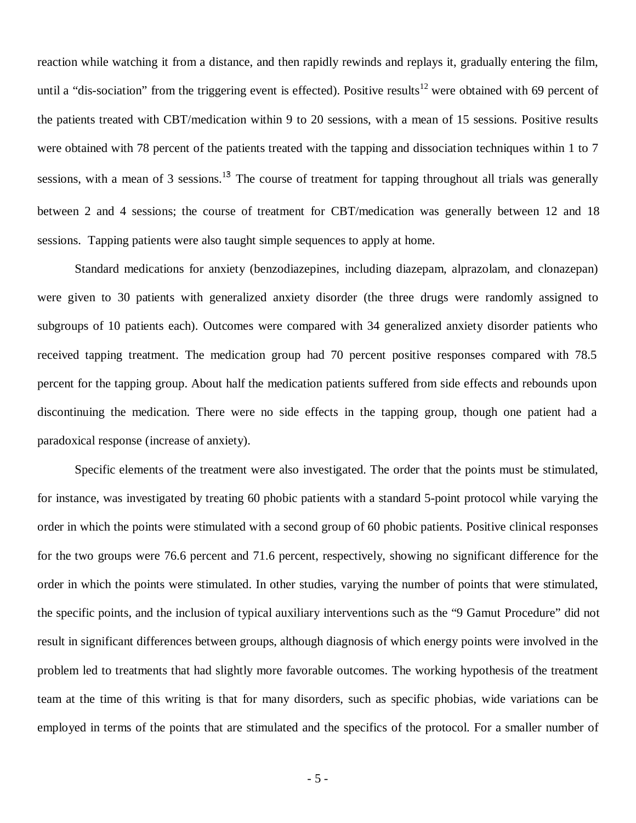reaction while watching it from a distance, and then rapidly rewinds and replays it, gradually entering the film, until a "dis-sociation" from the triggering event is effected). Positive results<sup>12</sup> were obtained with 69 percent of the patients treated with CBT/medication within 9 to 20 sessions, with a mean of 15 sessions. Positive results were obtained with 78 percent of the patients treated with the tapping and dissociation techniques within 1 to 7 sessions, with a mean of 3 sessions.<sup>13</sup> The course of treatment for tapping throughout all trials was generally between 2 and 4 sessions; the course of treatment for CBT/medication was generally between 12 and 18 sessions. Tapping patients were also taught simple sequences to apply at home.

Standard medications for anxiety (benzodiazepines, including diazepam, alprazolam, and clonazepan) were given to 30 patients with generalized anxiety disorder (the three drugs were randomly assigned to subgroups of 10 patients each). Outcomes were compared with 34 generalized anxiety disorder patients who received tapping treatment. The medication group had 70 percent positive responses compared with 78.5 percent for the tapping group. About half the medication patients suffered from side effects and rebounds upon discontinuing the medication. There were no side effects in the tapping group, though one patient had a paradoxical response (increase of anxiety).

Specific elements of the treatment were also investigated. The order that the points must be stimulated, for instance, was investigated by treating 60 phobic patients with a standard 5-point protocol while varying the order in which the points were stimulated with a second group of 60 phobic patients. Positive clinical responses for the two groups were 76.6 percent and 71.6 percent, respectively, showing no significant difference for the order in which the points were stimulated. In other studies, varying the number of points that were stimulated, the specific points, and the inclusion of typical auxiliary interventions such as the "9 Gamut Procedure" did not result in significant differences between groups, although diagnosis of which energy points were involved in the problem led to treatments that had slightly more favorable outcomes. The working hypothesis of the treatment team at the time of this writing is that for many disorders, such as specific phobias, wide variations can be employed in terms of the points that are stimulated and the specifics of the protocol. For a smaller number of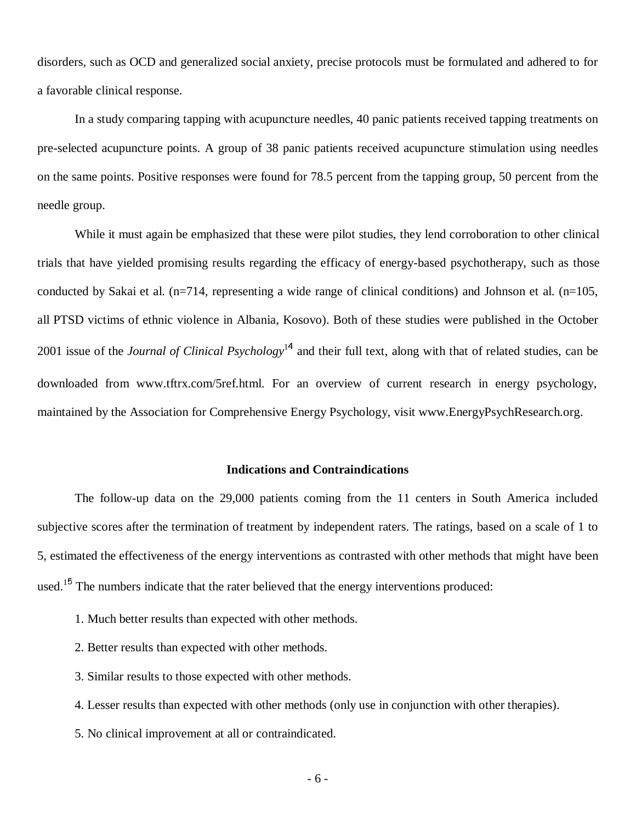disorders, such as OCD and generalized social anxiety, precise protocols must be formulated and adhered to for a favorable clinical response.

In a study comparing tapping with acupuncture needles, 40 panic patients received tapping treatments on pre-selected acupuncture points. A group of 38 panic patients received acupuncture stimulation using needles on the same points. Positive responses were found for 78.5 percent from the tapping group, 50 percent from the needle group.

While it must again be emphasized that these were pilot studies, they lend corroboration to other clinical trials that have yielded promising results regarding the efficacy of energy-based psychotherapy, such as those conducted by Sakai et al. (n=714, representing a wide range of clinical conditions) and Johnson et al. (n=105, all PTSD victims of ethnic violence in Albania, Kosovo). Both of these studies were published in the October 2001 issue of the *Journal of Clinical Psychology*<sup>14</sup> and their full text, along with that of related studies, can be downloaded from www.tftrx.com/5ref.html. For an overview of current research in energy psychology, maintained by the Association for Comprehensive Energy Psychology, visit www.EnergyPsychResearch.org.

### **Indications and Contraindications**

The follow-up data on the 29,000 patients coming from the 11 centers in South America included subjective scores after the termination of treatment by independent raters. The ratings, based on a scale of 1 to 5, estimated the effectiveness of the energy interventions as contrasted with other methods that might have been used.<sup>15</sup> The numbers indicate that the rater believed that the energy interventions produced:

- 1. Much better results than expected with other methods.
- 2. Better results than expected with other methods.
- 3. Similar results to those expected with other methods.
- 4. Lesser results than expected with other methods (only use in conjunction with other therapies).
- 5. No clinical improvement at all or contraindicated.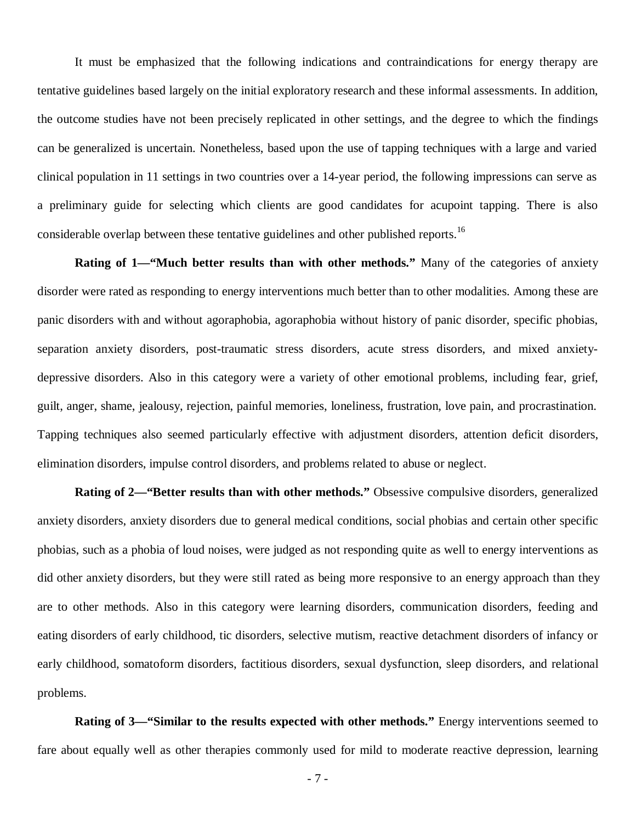It must be emphasized that the following indications and contraindications for energy therapy are tentative guidelines based largely on the initial exploratory research and these informal assessments. In addition, the outcome studies have not been precisely replicated in other settings, and the degree to which the findings can be generalized is uncertain. Nonetheless, based upon the use of tapping techniques with a large and varied clinical population in 11 settings in two countries over a 14-year period, the following impressions can serve as a preliminary guide for selecting which clients are good candidates for acupoint tapping. There is also considerable overlap between these tentative guidelines and other published reports.<sup>16</sup>

**Rating of 1—"Much better results than with other methods."** Many of the categories of anxiety disorder were rated as responding to energy interventions much better than to other modalities. Among these are panic disorders with and without agoraphobia, agoraphobia without history of panic disorder, specific phobias, separation anxiety disorders, post-traumatic stress disorders, acute stress disorders, and mixed anxietydepressive disorders. Also in this category were a variety of other emotional problems, including fear, grief, guilt, anger, shame, jealousy, rejection, painful memories, loneliness, frustration, love pain, and procrastination. Tapping techniques also seemed particularly effective with adjustment disorders, attention deficit disorders, elimination disorders, impulse control disorders, and problems related to abuse or neglect.

**Rating of 2—"Better results than with other methods."** Obsessive compulsive disorders, generalized anxiety disorders, anxiety disorders due to general medical conditions, social phobias and certain other specific phobias, such as a phobia of loud noises, were judged as not responding quite as well to energy interventions as did other anxiety disorders, but they were still rated as being more responsive to an energy approach than they are to other methods. Also in this category were learning disorders, communication disorders, feeding and eating disorders of early childhood, tic disorders, selective mutism, reactive detachment disorders of infancy or early childhood, somatoform disorders, factitious disorders, sexual dysfunction, sleep disorders, and relational problems.

**Rating of 3—"Similar to the results expected with other methods."** Energy interventions seemed to fare about equally well as other therapies commonly used for mild to moderate reactive depression, learning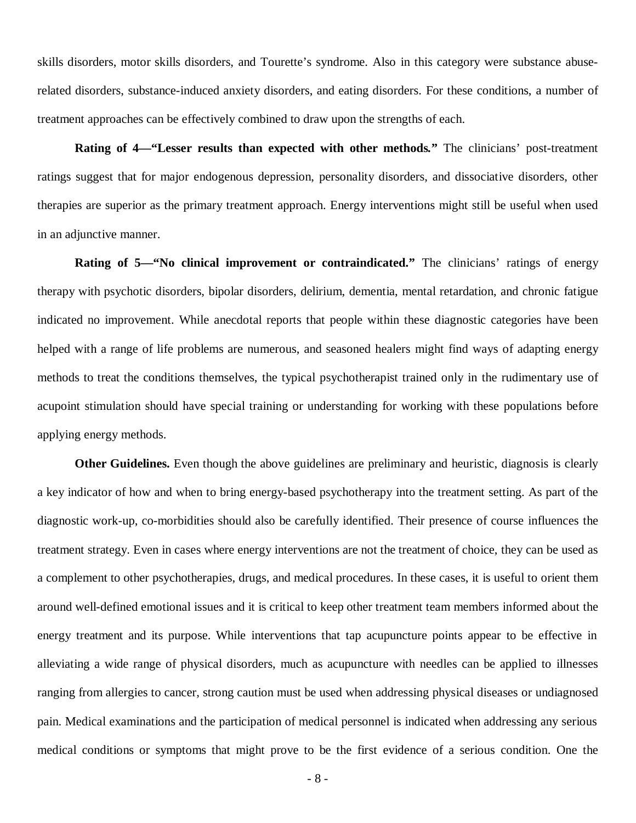skills disorders, motor skills disorders, and Tourette's syndrome. Also in this category were substance abuserelated disorders, substance-induced anxiety disorders, and eating disorders. For these conditions, a number of treatment approaches can be effectively combined to draw upon the strengths of each.

**Rating of 4—"Lesser results than expected with other methods***.***"** The clinicians' post-treatment ratings suggest that for major endogenous depression, personality disorders, and dissociative disorders, other therapies are superior as the primary treatment approach. Energy interventions might still be useful when used in an adjunctive manner.

**Rating of 5—"No clinical improvement or contraindicated."** The clinicians' ratings of energy therapy with psychotic disorders, bipolar disorders, delirium, dementia, mental retardation, and chronic fatigue indicated no improvement. While anecdotal reports that people within these diagnostic categories have been helped with a range of life problems are numerous, and seasoned healers might find ways of adapting energy methods to treat the conditions themselves, the typical psychotherapist trained only in the rudimentary use of acupoint stimulation should have special training or understanding for working with these populations before applying energy methods.

**Other Guidelines.** Even though the above guidelines are preliminary and heuristic, diagnosis is clearly a key indicator of how and when to bring energy-based psychotherapy into the treatment setting. As part of the diagnostic work-up, co-morbidities should also be carefully identified. Their presence of course influences the treatment strategy. Even in cases where energy interventions are not the treatment of choice, they can be used as a complement to other psychotherapies, drugs, and medical procedures. In these cases, it is useful to orient them around well-defined emotional issues and it is critical to keep other treatment team members informed about the energy treatment and its purpose. While interventions that tap acupuncture points appear to be effective in alleviating a wide range of physical disorders, much as acupuncture with needles can be applied to illnesses ranging from allergies to cancer, strong caution must be used when addressing physical diseases or undiagnosed pain. Medical examinations and the participation of medical personnel is indicated when addressing any serious medical conditions or symptoms that might prove to be the first evidence of a serious condition. One the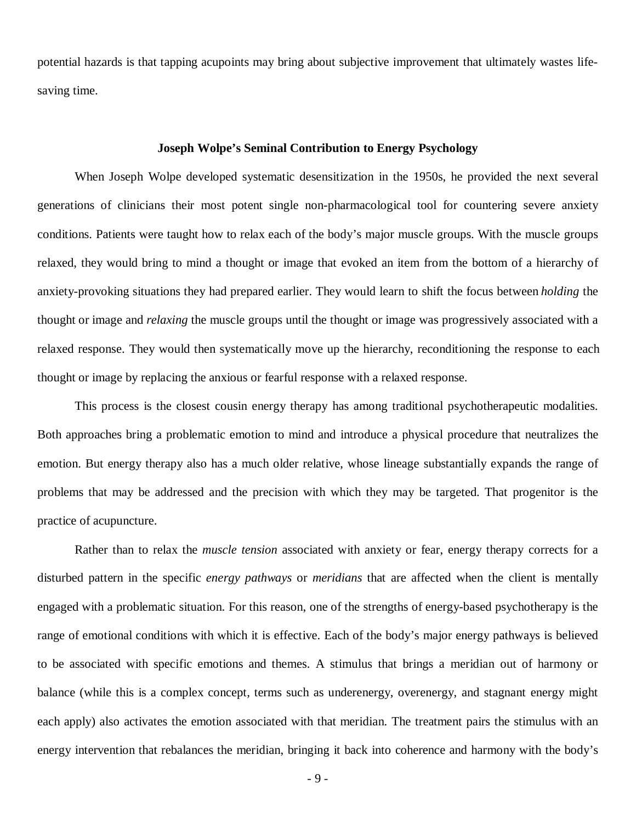potential hazards is that tapping acupoints may bring about subjective improvement that ultimately wastes lifesaving time.

#### **Joseph Wolpe's Seminal Contribution to Energy Psychology**

When Joseph Wolpe developed systematic desensitization in the 1950s, he provided the next several generations of clinicians their most potent single non-pharmacological tool for countering severe anxiety conditions. Patients were taught how to relax each of the body's major muscle groups. With the muscle groups relaxed, they would bring to mind a thought or image that evoked an item from the bottom of a hierarchy of anxiety-provoking situations they had prepared earlier. They would learn to shift the focus between *holding* the thought or image and *relaxing* the muscle groups until the thought or image was progressively associated with a relaxed response. They would then systematically move up the hierarchy, reconditioning the response to each thought or image by replacing the anxious or fearful response with a relaxed response.

This process is the closest cousin energy therapy has among traditional psychotherapeutic modalities. Both approaches bring a problematic emotion to mind and introduce a physical procedure that neutralizes the emotion. But energy therapy also has a much older relative, whose lineage substantially expands the range of problems that may be addressed and the precision with which they may be targeted. That progenitor is the practice of acupuncture.

Rather than to relax the *muscle tension* associated with anxiety or fear, energy therapy corrects for a disturbed pattern in the specific *energy pathways* or *meridians* that are affected when the client is mentally engaged with a problematic situation. For this reason, one of the strengths of energy-based psychotherapy is the range of emotional conditions with which it is effective. Each of the body's major energy pathways is believed to be associated with specific emotions and themes. A stimulus that brings a meridian out of harmony or balance (while this is a complex concept, terms such as underenergy, overenergy, and stagnant energy might each apply) also activates the emotion associated with that meridian. The treatment pairs the stimulus with an energy intervention that rebalances the meridian, bringing it back into coherence and harmony with the body's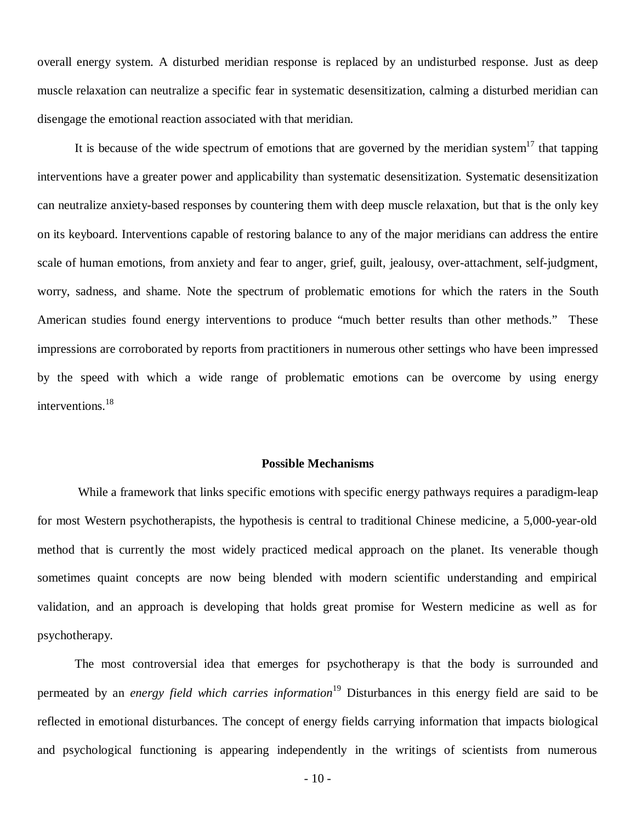overall energy system. A disturbed meridian response is replaced by an undisturbed response. Just as deep muscle relaxation can neutralize a specific fear in systematic desensitization, calming a disturbed meridian can disengage the emotional reaction associated with that meridian.

It is because of the wide spectrum of emotions that are governed by the meridian system<sup>17</sup> that tapping interventions have a greater power and applicability than systematic desensitization. Systematic desensitization can neutralize anxiety-based responses by countering them with deep muscle relaxation, but that is the only key on its keyboard. Interventions capable of restoring balance to any of the major meridians can address the entire scale of human emotions, from anxiety and fear to anger, grief, guilt, jealousy, over-attachment, self-judgment, worry, sadness, and shame. Note the spectrum of problematic emotions for which the raters in the South American studies found energy interventions to produce "much better results than other methods." These impressions are corroborated by reports from practitioners in numerous other settings who have been impressed by the speed with which a wide range of problematic emotions can be overcome by using energy interventions.<sup>18</sup>

#### **Possible Mechanisms**

While a framework that links specific emotions with specific energy pathways requires a paradigm-leap for most Western psychotherapists, the hypothesis is central to traditional Chinese medicine, a 5,000-year-old method that is currently the most widely practiced medical approach on the planet. Its venerable though sometimes quaint concepts are now being blended with modern scientific understanding and empirical validation, and an approach is developing that holds great promise for Western medicine as well as for psychotherapy.

The most controversial idea that emerges for psychotherapy is that the body is surrounded and permeated by an *energy field which carries information*19 Disturbances in this energy field are said to be reflected in emotional disturbances. The concept of energy fields carrying information that impacts biological and psychological functioning is appearing independently in the writings of scientists from numerous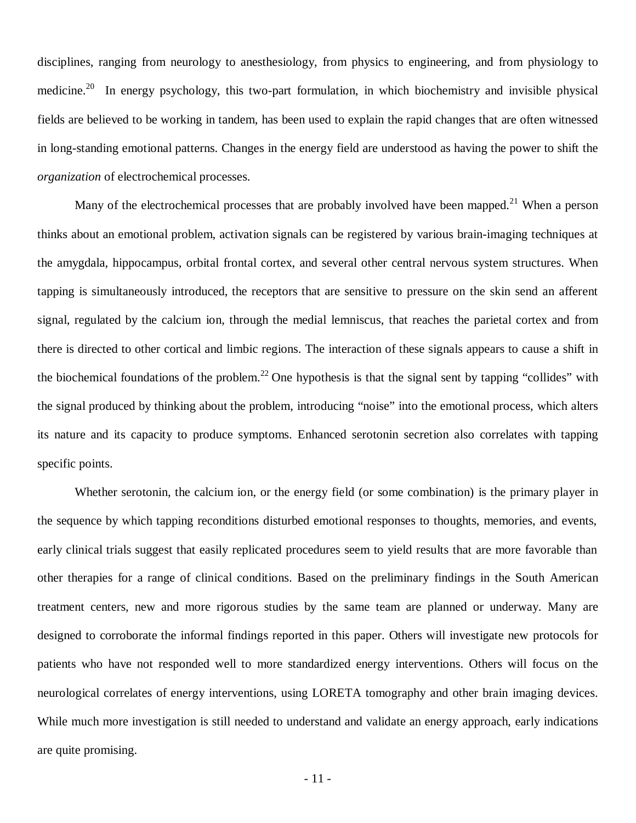disciplines, ranging from neurology to anesthesiology, from physics to engineering, and from physiology to medicine.<sup>20</sup> In energy psychology, this two-part formulation, in which biochemistry and invisible physical fields are believed to be working in tandem, has been used to explain the rapid changes that are often witnessed in long-standing emotional patterns. Changes in the energy field are understood as having the power to shift the *organization* of electrochemical processes.

Many of the electrochemical processes that are probably involved have been mapped.<sup>21</sup> When a person thinks about an emotional problem, activation signals can be registered by various brain-imaging techniques at the amygdala, hippocampus, orbital frontal cortex, and several other central nervous system structures. When tapping is simultaneously introduced, the receptors that are sensitive to pressure on the skin send an afferent signal, regulated by the calcium ion, through the medial lemniscus, that reaches the parietal cortex and from there is directed to other cortical and limbic regions. The interaction of these signals appears to cause a shift in the biochemical foundations of the problem.<sup>22</sup> One hypothesis is that the signal sent by tapping "collides" with the signal produced by thinking about the problem, introducing "noise" into the emotional process, which alters its nature and its capacity to produce symptoms. Enhanced serotonin secretion also correlates with tapping specific points.

Whether serotonin, the calcium ion, or the energy field (or some combination) is the primary player in the sequence by which tapping reconditions disturbed emotional responses to thoughts, memories, and events, early clinical trials suggest that easily replicated procedures seem to yield results that are more favorable than other therapies for a range of clinical conditions. Based on the preliminary findings in the South American treatment centers, new and more rigorous studies by the same team are planned or underway. Many are designed to corroborate the informal findings reported in this paper. Others will investigate new protocols for patients who have not responded well to more standardized energy interventions. Others will focus on the neurological correlates of energy interventions, using LORETA tomography and other brain imaging devices. While much more investigation is still needed to understand and validate an energy approach, early indications are quite promising.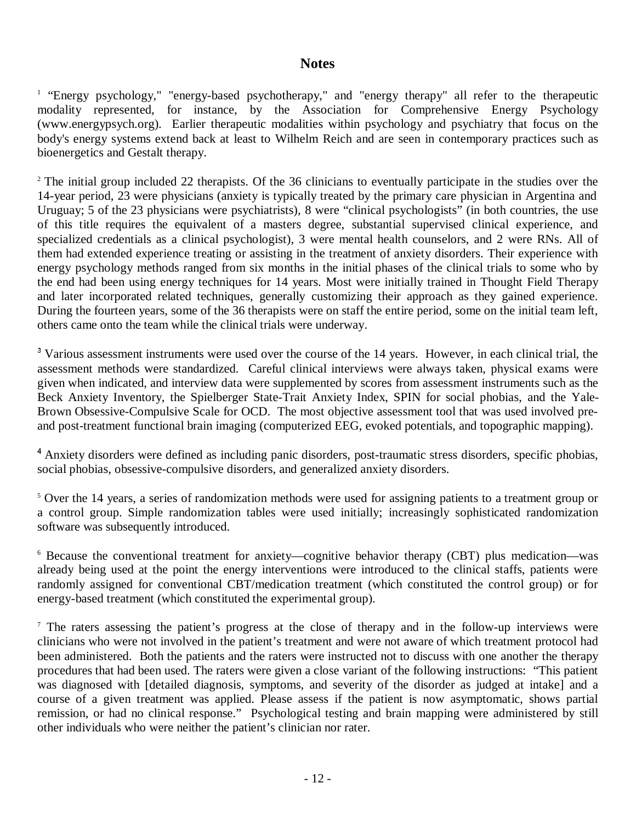## **Notes**

<sup>1</sup> "Energy psychology," "energy-based psychotherapy," and "energy therapy" all refer to the therapeutic modality represented, for instance, by the Association for Comprehensive Energy Psychology (www.energypsych.org). Earlier therapeutic modalities within psychology and psychiatry that focus on the body's energy systems extend back at least to Wilhelm Reich and are seen in contemporary practices such as bioenergetics and Gestalt therapy.

<sup>2</sup> The initial group included 22 therapists. Of the 36 clinicians to eventually participate in the studies over the 14-year period, 23 were physicians (anxiety is typically treated by the primary care physician in Argentina and Uruguay; 5 of the 23 physicians were psychiatrists), 8 were "clinical psychologists" (in both countries, the use of this title requires the equivalent of a masters degree, substantial supervised clinical experience, and specialized credentials as a clinical psychologist), 3 were mental health counselors, and 2 were RNs. All of them had extended experience treating or assisting in the treatment of anxiety disorders. Their experience with energy psychology methods ranged from six months in the initial phases of the clinical trials to some who by the end had been using energy techniques for 14 years. Most were initially trained in Thought Field Therapy and later incorporated related techniques, generally customizing their approach as they gained experience. During the fourteen years, some of the 36 therapists were on staff the entire period, some on the initial team left, others came onto the team while the clinical trials were underway.

<sup>3</sup> Various assessment instruments were used over the course of the 14 years. However, in each clinical trial, the assessment methods were standardized. Careful clinical interviews were always taken, physical exams were given when indicated, and interview data were supplemented by scores from assessment instruments such as the Beck Anxiety Inventory, the Spielberger State-Trait Anxiety Index, SPIN for social phobias, and the Yale-Brown Obsessive-Compulsive Scale for OCD. The most objective assessment tool that was used involved preand post-treatment functional brain imaging (computerized EEG, evoked potentials, and topographic mapping).

 Anxiety disorders were defined as including panic disorders, post-traumatic stress disorders, specific phobias, social phobias, obsessive-compulsive disorders, and generalized anxiety disorders.

<sup>5</sup> Over the 14 years, a series of randomization methods were used for assigning patients to a treatment group or a control group. Simple randomization tables were used initially; increasingly sophisticated randomization software was subsequently introduced.

<sup>6</sup> Because the conventional treatment for anxiety—cognitive behavior therapy (CBT) plus medication—was already being used at the point the energy interventions were introduced to the clinical staffs, patients were randomly assigned for conventional CBT/medication treatment (which constituted the control group) or for energy-based treatment (which constituted the experimental group).

<sup>7</sup> The raters assessing the patient's progress at the close of therapy and in the follow-up interviews were clinicians who were not involved in the patient's treatment and were not aware of which treatment protocol had been administered. Both the patients and the raters were instructed not to discuss with one another the therapy procedures that had been used. The raters were given a close variant of the following instructions: "This patient was diagnosed with [detailed diagnosis, symptoms, and severity of the disorder as judged at intake] and a course of a given treatment was applied. Please assess if the patient is now asymptomatic, shows partial remission, or had no clinical response." Psychological testing and brain mapping were administered by still other individuals who were neither the patient's clinician nor rater.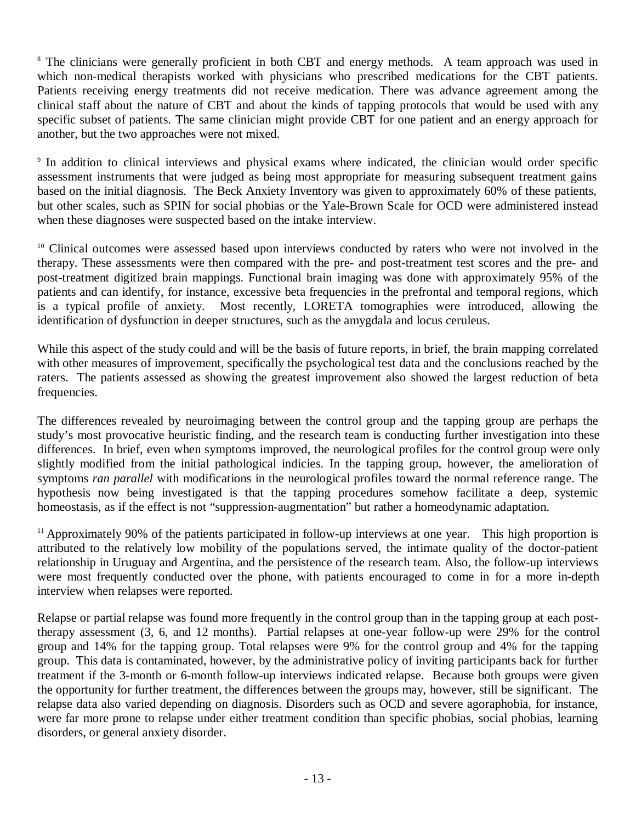<sup>8</sup> The clinicians were generally proficient in both CBT and energy methods. A team approach was used in which non-medical therapists worked with physicians who prescribed medications for the CBT patients. Patients receiving energy treatments did not receive medication. There was advance agreement among the clinical staff about the nature of CBT and about the kinds of tapping protocols that would be used with any specific subset of patients. The same clinician might provide CBT for one patient and an energy approach for another, but the two approaches were not mixed.

<sup>9</sup> In addition to clinical interviews and physical exams where indicated, the clinician would order specific assessment instruments that were judged as being most appropriate for measuring subsequent treatment gains based on the initial diagnosis. The Beck Anxiety Inventory was given to approximately 60% of these patients, but other scales, such as SPIN for social phobias or the Yale-Brown Scale for OCD were administered instead when these diagnoses were suspected based on the intake interview.

<sup>10</sup> Clinical outcomes were assessed based upon interviews conducted by raters who were not involved in the therapy. These assessments were then compared with the pre- and post-treatment test scores and the pre- and post-treatment digitized brain mappings. Functional brain imaging was done with approximately 95% of the patients and can identify, for instance, excessive beta frequencies in the prefrontal and temporal regions, which is a typical profile of anxiety. Most recently, LORETA tomographies were introduced, allowing the identification of dysfunction in deeper structures, such as the amygdala and locus ceruleus.

While this aspect of the study could and will be the basis of future reports, in brief, the brain mapping correlated with other measures of improvement, specifically the psychological test data and the conclusions reached by the raters. The patients assessed as showing the greatest improvement also showed the largest reduction of beta frequencies.

The differences revealed by neuroimaging between the control group and the tapping group are perhaps the study's most provocative heuristic finding, and the research team is conducting further investigation into these differences. In brief, even when symptoms improved, the neurological profiles for the control group were only slightly modified from the initial pathological indicies. In the tapping group, however, the amelioration of symptoms *ran parallel* with modifications in the neurological profiles toward the normal reference range. The hypothesis now being investigated is that the tapping procedures somehow facilitate a deep, systemic homeostasis, as if the effect is not "suppression-augmentation" but rather a homeodynamic adaptation.

<sup>11</sup> Approximately 90% of the patients participated in follow-up interviews at one year. This high proportion is attributed to the relatively low mobility of the populations served, the intimate quality of the doctor-patient relationship in Uruguay and Argentina, and the persistence of the research team. Also, the follow-up interviews were most frequently conducted over the phone, with patients encouraged to come in for a more in-depth interview when relapses were reported.

Relapse or partial relapse was found more frequently in the control group than in the tapping group at each posttherapy assessment (3, 6, and 12 months). Partial relapses at one-year follow-up were 29% for the control group and 14% for the tapping group. Total relapses were 9% for the control group and 4% for the tapping group. This data is contaminated, however, by the administrative policy of inviting participants back for further treatment if the 3-month or 6-month follow-up interviews indicated relapse. Because both groups were given the opportunity for further treatment, the differences between the groups may, however, still be significant. The relapse data also varied depending on diagnosis. Disorders such as OCD and severe agoraphobia, for instance, were far more prone to relapse under either treatment condition than specific phobias, social phobias, learning disorders, or general anxiety disorder.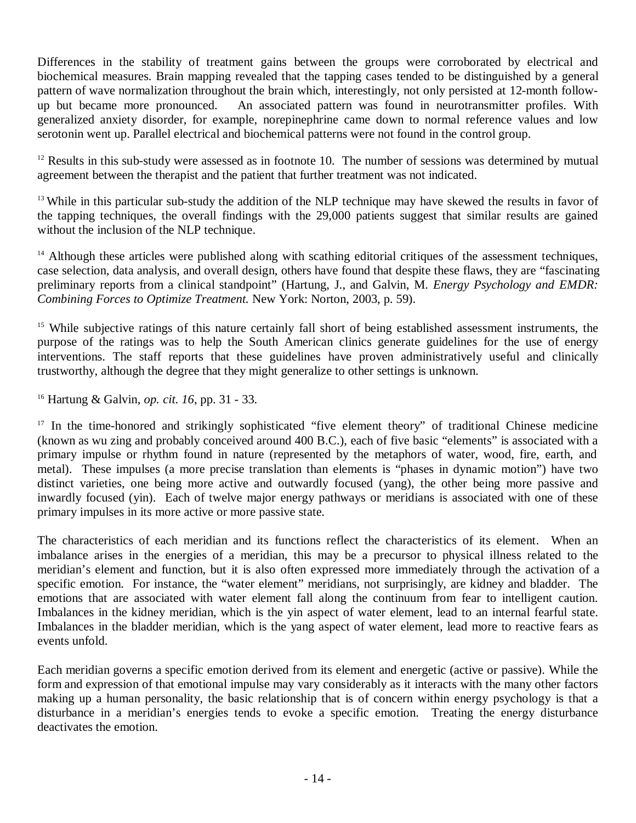Differences in the stability of treatment gains between the groups were corroborated by electrical and biochemical measures. Brain mapping revealed that the tapping cases tended to be distinguished by a general pattern of wave normalization throughout the brain which, interestingly, not only persisted at 12-month followup but became more pronounced. An associated pattern was found in neurotransmitter profiles. With generalized anxiety disorder, for example, norepinephrine came down to normal reference values and low serotonin went up. Parallel electrical and biochemical patterns were not found in the control group.

 $12$  Results in this sub-study were assessed as in footnote 10. The number of sessions was determined by mutual agreement between the therapist and the patient that further treatment was not indicated.

<sup>13</sup> While in this particular sub-study the addition of the NLP technique may have skewed the results in favor of the tapping techniques, the overall findings with the 29,000 patients suggest that similar results are gained without the inclusion of the NLP technique.

<sup>14</sup> Although these articles were published along with scathing editorial critiques of the assessment techniques, case selection, data analysis, and overall design, others have found that despite these flaws, they are "fascinating preliminary reports from a clinical standpoint" (Hartung, J., and Galvin, M. *Energy Psychology and EMDR: Combining Forces to Optimize Treatment.* New York: Norton, 2003, p. 59).

<sup>15</sup> While subjective ratings of this nature certainly fall short of being established assessment instruments, the purpose of the ratings was to help the South American clinics generate guidelines for the use of energy interventions. The staff reports that these guidelines have proven administratively useful and clinically trustworthy, although the degree that they might generalize to other settings is unknown.

<sup>16</sup> Hartung & Galvin, *op. cit. 16*, pp. 31 - 33.

<sup>17</sup> In the time-honored and strikingly sophisticated "five element theory" of traditional Chinese medicine (known as wu zing and probably conceived around 400 B.C.), each of five basic "elements" is associated with a primary impulse or rhythm found in nature (represented by the metaphors of water, wood, fire, earth, and metal). These impulses (a more precise translation than elements is "phases in dynamic motion") have two distinct varieties, one being more active and outwardly focused (yang), the other being more passive and inwardly focused (yin). Each of twelve major energy pathways or meridians is associated with one of these primary impulses in its more active or more passive state.

The characteristics of each meridian and its functions reflect the characteristics of its element. When an imbalance arises in the energies of a meridian, this may be a precursor to physical illness related to the meridian's element and function, but it is also often expressed more immediately through the activation of a specific emotion. For instance, the "water element" meridians, not surprisingly, are kidney and bladder. The emotions that are associated with water element fall along the continuum from fear to intelligent caution. Imbalances in the kidney meridian, which is the yin aspect of water element, lead to an internal fearful state. Imbalances in the bladder meridian, which is the yang aspect of water element, lead more to reactive fears as events unfold.

Each meridian governs a specific emotion derived from its element and energetic (active or passive). While the form and expression of that emotional impulse may vary considerably as it interacts with the many other factors making up a human personality, the basic relationship that is of concern within energy psychology is that a disturbance in a meridian's energies tends to evoke a specific emotion. Treating the energy disturbance deactivates the emotion.